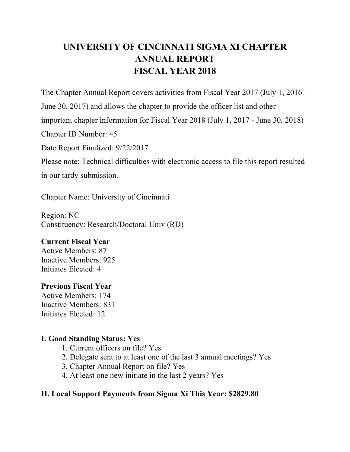# **UNIVERSITY OF CINCINNATI SIGMA XI CHAPTER ANNUAL REPORT FISCAL YEAR 2018**

The Chapter Annual Report covers activities from Fiscal Year 2017 (July 1, 2016 –

June 30, 2017) and allows the chapter to provide the officer list and other

important chapter information for Fiscal Year 2018 (July 1, 2017 - June 30, 2018)

Chapter ID Number: 45

Date Report Finalized: 9/22/2017

Please note: Technical difficulties with electronic access to file this report resulted in our tardy submission.

Chapter Name: University of Cincinnati

Region: NC Constituency: Research/Doctoral Univ (RD)

### **Current Fiscal Year**

Active Members: 87 Inactive Members: 925 Initiates Elected: 4

### **Previous Fiscal Year**

Active Members: 174 Inactive Members: 831 Initiates Elected: 12

### **I. Good Standing Status: Yes**

- 1. Current officers on file? Yes
- 2. Delegate sent to at least one of the last 3 annual meetings? Yes
- 3. Chapter Annual Report on file? Yes
- 4. At least one new initiate in the last 2 years? Yes

### **II. Local Support Payments from Sigma Xi This Year: \$2829.80**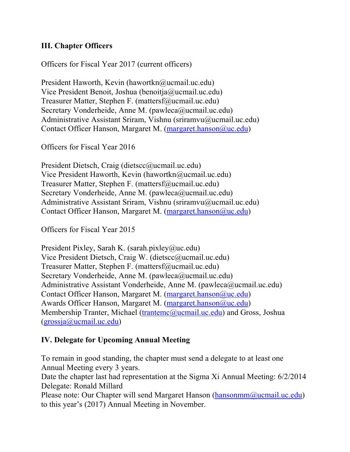#### **III. Chapter Officers**

Officers for Fiscal Year 2017 (current officers)

President Haworth, Kevin (hawortkn@ucmail.uc.edu) Vice President Benoit, Joshua (benoitja@ucmail.uc.edu) Treasurer Matter, Stephen F. (mattersf@ucmail.uc.edu) Secretary Vonderheide, Anne M. (pawleca@ucmail.uc.edu) Administrative Assistant Sriram, Vishnu (sriramvu@ucmail.uc.edu) Contact Officer Hanson, Margaret M. (margaret.hanson@uc.edu)

Officers for Fiscal Year 2016

President Dietsch, Craig (dietscc@ucmail.uc.edu) Vice President Haworth, Kevin (hawortkn@ucmail.uc.edu) Treasurer Matter, Stephen F. (mattersf@ucmail.uc.edu) Secretary Vonderheide, Anne M. (pawleca@ucmail.uc.edu) Administrative Assistant Sriram, Vishnu (sriramvu@ucmail.uc.edu) Contact Officer Hanson, Margaret M. (margaret.hanson@uc.edu)

Officers for Fiscal Year 2015

President Pixley, Sarah K. (sarah.pixley@uc.edu) Vice President Dietsch, Craig W. (dietscc@ucmail.uc.edu) Treasurer Matter, Stephen F. (mattersf@ucmail.uc.edu) Secretary Vonderheide, Anne M. (pawleca@ucmail.uc.edu) Administrative Assistant Vonderheide, Anne M. (pawleca@ucmail.uc.edu) Contact Officer Hanson, Margaret M. (margaret.hanson@uc.edu) Awards Officer Hanson, Margaret M. (margaret.hanson@uc.edu) Membership Tranter, Michael (trantemc@ucmail.uc.edu) and Gross, Joshua (grossja@ucmail.uc.edu)

### **IV. Delegate for Upcoming Annual Meeting**

To remain in good standing, the chapter must send a delegate to at least one Annual Meeting every 3 years.

Date the chapter last had representation at the Sigma Xi Annual Meeting: 6/2/2014 Delegate: Ronald Millard

Please note: Our Chapter will send Margaret Hanson (hansonmm@ucmail.uc.edu) to this year's (2017) Annual Meeting in November.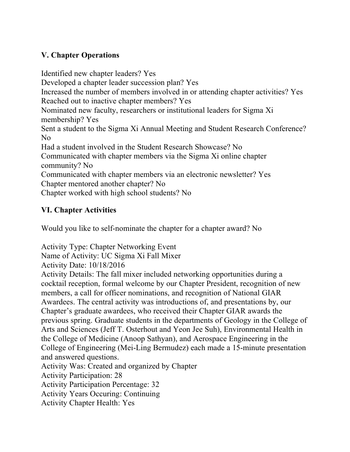## **V. Chapter Operations**

Identified new chapter leaders? Yes Developed a chapter leader succession plan? Yes Increased the number of members involved in or attending chapter activities? Yes Reached out to inactive chapter members? Yes Nominated new faculty, researchers or institutional leaders for Sigma Xi membership? Yes Sent a student to the Sigma Xi Annual Meeting and Student Research Conference? No Had a student involved in the Student Research Showcase? No Communicated with chapter members via the Sigma Xi online chapter community? No Communicated with chapter members via an electronic newsletter? Yes Chapter mentored another chapter? No Chapter worked with high school students? No

## **VI. Chapter Activities**

Would you like to self-nominate the chapter for a chapter award? No

Activity Type: Chapter Networking Event Name of Activity: UC Sigma Xi Fall Mixer Activity Date: 10/18/2016 Activity Details: The fall mixer included networking opportunities during a cocktail reception, formal welcome by our Chapter President, recognition of new members, a call for officer nominations, and recognition of National GIAR Awardees. The central activity was introductions of, and presentations by, our Chapter's graduate awardees, who received their Chapter GIAR awards the previous spring. Graduate students in the departments of Geology in the College of Arts and Sciences (Jeff T. Osterhout and Yeon Jee Suh), Environmental Health in the College of Medicine (Anoop Sathyan), and Aerospace Engineering in the College of Engineering (Mei-Ling Bermudez) each made a 15-minute presentation and answered questions. Activity Was: Created and organized by Chapter Activity Participation: 28 Activity Participation Percentage: 32 Activity Years Occuring: Continuing

Activity Chapter Health: Yes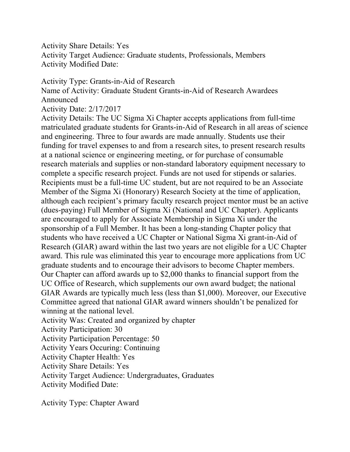Activity Share Details: Yes Activity Target Audience: Graduate students, Professionals, Members Activity Modified Date:

#### Activity Type: Grants-in-Aid of Research

Name of Activity: Graduate Student Grants-in-Aid of Research Awardees Announced

Activity Date: 2/17/2017

Activity Details: The UC Sigma Xi Chapter accepts applications from full-time matriculated graduate students for Grants-in-Aid of Research in all areas of science and engineering. Three to four awards are made annually. Students use their funding for travel expenses to and from a research sites, to present research results at a national science or engineering meeting, or for purchase of consumable research materials and supplies or non-standard laboratory equipment necessary to complete a specific research project. Funds are not used for stipends or salaries. Recipients must be a full-time UC student, but are not required to be an Associate Member of the Sigma Xi (Honorary) Research Society at the time of application, although each recipient's primary faculty research project mentor must be an active (dues-paying) Full Member of Sigma Xi (National and UC Chapter). Applicants are encouraged to apply for Associate Membership in Sigma Xi under the sponsorship of a Full Member. It has been a long-standing Chapter policy that students who have received a UC Chapter or National Sigma Xi grant-in-Aid of Research (GIAR) award within the last two years are not eligible for a UC Chapter award. This rule was eliminated this year to encourage more applications from UC graduate students and to encourage their advisors to become Chapter members. Our Chapter can afford awards up to \$2,000 thanks to financial support from the UC Office of Research, which supplements our own award budget; the national GIAR Awards are typically much less (less than \$1,000). Moreover, our Executive Committee agreed that national GIAR award winners shouldn't be penalized for winning at the national level.

Activity Was: Created and organized by chapter

Activity Participation: 30

Activity Participation Percentage: 50

Activity Years Occuring: Continuing

Activity Chapter Health: Yes

Activity Share Details: Yes

Activity Target Audience: Undergraduates, Graduates

Activity Modified Date:

Activity Type: Chapter Award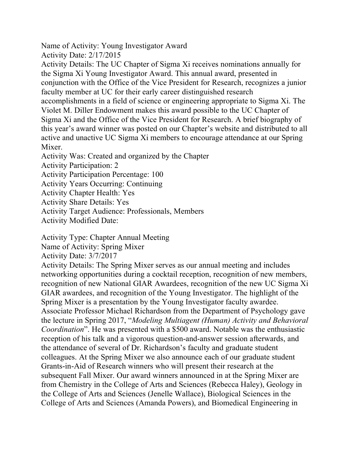Name of Activity: Young Investigator Award

Activity Date: 2/17/2015

Activity Details: The UC Chapter of Sigma Xi receives nominations annually for the Sigma Xi Young Investigator Award. This annual award, presented in conjunction with the Office of the Vice President for Research, recognizes a junior faculty member at UC for their early career distinguished research accomplishments in a field of science or engineering appropriate to Sigma Xi. The Violet M. Diller Endowment makes this award possible to the UC Chapter of Sigma Xi and the Office of the Vice President for Research. A brief biography of this year's award winner was posted on our Chapter's website and distributed to all active and unactive UC Sigma Xi members to encourage attendance at our Spring Mixer.

Activity Was: Created and organized by the Chapter

Activity Participation: 2

Activity Participation Percentage: 100

Activity Years Occurring: Continuing

Activity Chapter Health: Yes

Activity Share Details: Yes

Activity Target Audience: Professionals, Members

Activity Modified Date:

Activity Type: Chapter Annual Meeting

Name of Activity: Spring Mixer

Activity Date: 3/7/2017

Activity Details: The Spring Mixer serves as our annual meeting and includes networking opportunities during a cocktail reception, recognition of new members, recognition of new National GIAR Awardees, recognition of the new UC Sigma Xi GIAR awardees, and recognition of the Young Investigator. The highlight of the Spring Mixer is a presentation by the Young Investigator faculty awardee. Associate Professor Michael Richardson from the Department of Psychology gave the lecture in Spring 2017, "*Modeling Multiagent (Human) Activity and Behavioral Coordination*". He was presented with a \$500 award. Notable was the enthusiastic reception of his talk and a vigorous question-and-answer session afterwards, and the attendance of several of Dr. Richardson's faculty and graduate student colleagues. At the Spring Mixer we also announce each of our graduate student Grants-in-Aid of Research winners who will present their research at the subsequent Fall Mixer. Our award winners announced in at the Spring Mixer are from Chemistry in the College of Arts and Sciences (Rebecca Haley), Geology in the College of Arts and Sciences (Jenelle Wallace), Biological Sciences in the College of Arts and Sciences (Amanda Powers), and Biomedical Engineering in